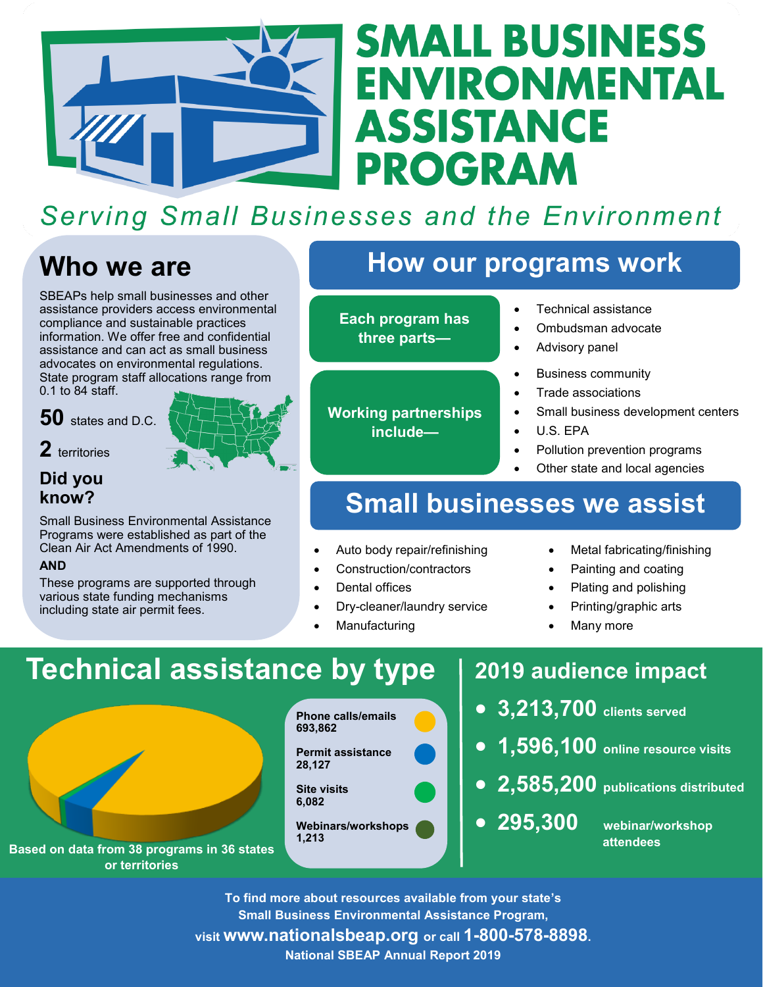

# **SMALL BUSINESS** ENVIRONMENTAL **ASSISTANCE PROGRAM**

## **Serving Small Businesses and the Environment**

## **Who we are**

SBEAPs help small businesses and other assistance providers access environmental compliance and sustainable practices information. We offer free and confidential assistance and can act as small business advocates on environmental regulations. State program staff allocations range from 0.1 to 84 staff.

**50** states and D.C.



**2** territories

**Did you know?**

Small Business Environmental Assistance Programs were established as part of the Clean Air Act Amendments of 1990.

#### **AND**

These programs are supported through various state funding mechanisms including state air permit fees.

## **How our programs work**

**Each program has three parts—**

**Working partnerships include—**

#### Technical assistance

- Ombudsman advocate
- Advisory panel
- Business community
- Trade associations
- Small business development centers
- U.S. EPA
- Pollution prevention programs
- Other state and local agencies

## **Small businesses we assist**

Auto body repair/refinishing

- Construction/contractors
- 
- Dry-cleaner/laundry service
- 
- Metal fabricating/finishing
- Painting and coating
- Plating and polishing
- Printing/graphic arts
- Many more

# **Technical assistance by type**

**Based on data from 38 programs in 36 states** 

**or territories**

**Phone calls/emails 693,862 Permit assistance 28,127 Site visits 6,082 Webinars/workshops 1,213**

## **2019 audience impact**

- **3,213,700 clients served**
- **1,596,100 online resource visits**
- **2,585,200 publications distributed**

 **295,300 webinar/workshop attendees**

**To find more about resources available from your state's Small Business Environmental Assistance Program, visit www.nationalsbeap.org or call 1-800-578-8898.**

**National SBEAP Annual Report 2019**

- -
- Dental offices
- 
- Manufacturing